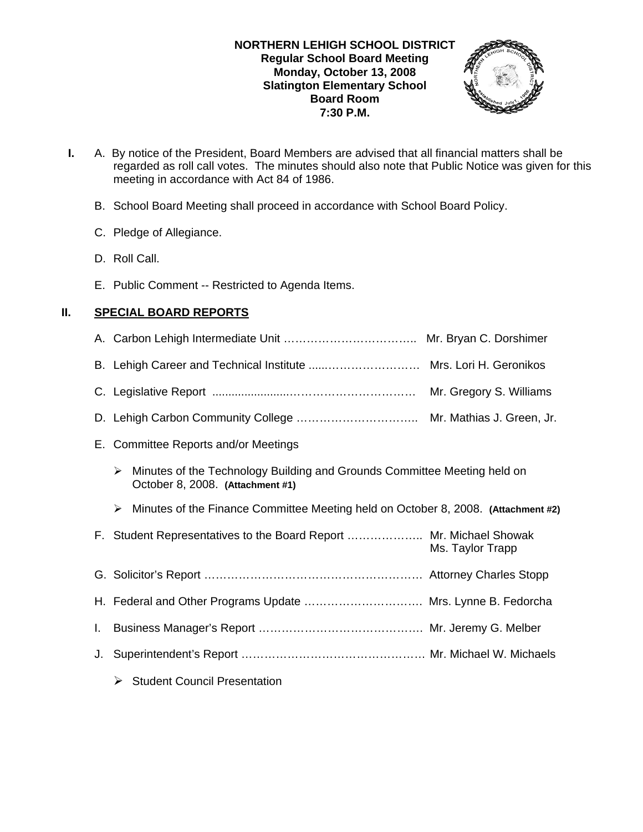## **NORTHERN LEHIGH SCHOOL DISTRICT Regular School Board Meeting Monday, October 13, 2008 Slatington Elementary School Board Room 7:30 P.M.**



- **I.** A. By notice of the President, Board Members are advised that all financial matters shall be regarded as roll call votes. The minutes should also note that Public Notice was given for this meeting in accordance with Act 84 of 1986.
	- B. School Board Meeting shall proceed in accordance with School Board Policy.
	- C. Pledge of Allegiance.
	- D. Roll Call.
	- E. Public Comment -- Restricted to Agenda Items.

# **II. SPECIAL BOARD REPORTS**

|    |                                                                                                                   | Mr. Gregory S. Williams |
|----|-------------------------------------------------------------------------------------------------------------------|-------------------------|
|    |                                                                                                                   |                         |
|    | E. Committee Reports and/or Meetings                                                                              |                         |
|    | Minutes of the Technology Building and Grounds Committee Meeting held on<br>➤<br>October 8, 2008. (Attachment #1) |                         |
|    | Minutes of the Finance Committee Meeting held on October 8, 2008. (Attachment #2)<br>➤                            |                         |
|    | F. Student Representatives to the Board Report  Mr. Michael Showak                                                | Ms. Taylor Trapp        |
|    |                                                                                                                   |                         |
|    | H. Federal and Other Programs Update  Mrs. Lynne B. Fedorcha                                                      |                         |
| L. |                                                                                                                   |                         |
| J. |                                                                                                                   |                         |
|    | $\triangleright$ Student Council Presentation                                                                     |                         |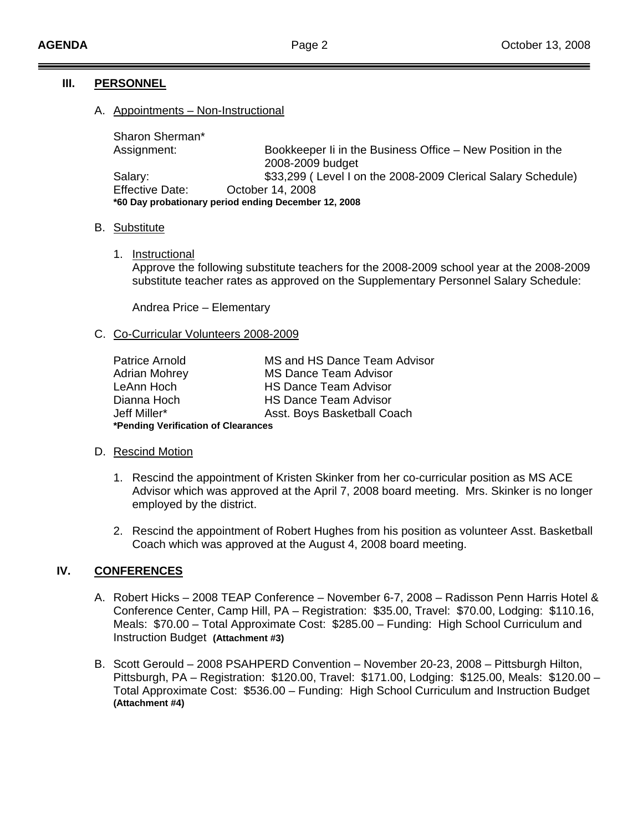# **III. PERSONNEL**

# A. Appointments – Non-Instructional

 Sharon Sherman\* Assignment: Bookkeeper Ii in the Business Office – New Position in the 2008-2009 budget Salary: **\$33,299** ( Level I on the 2008-2009 Clerical Salary Schedule) Effective Date: October 14, 2008 **\*60 Day probationary period ending December 12, 2008** 

## B. Substitute

1. Instructional

Approve the following substitute teachers for the 2008-2009 school year at the 2008-2009 substitute teacher rates as approved on the Supplementary Personnel Salary Schedule:

Andrea Price – Elementary

## C. Co-Curricular Volunteers 2008-2009

| Patrice Arnold                      | MS and HS Dance Team Advisor |  |
|-------------------------------------|------------------------------|--|
| <b>Adrian Mohrey</b>                | <b>MS Dance Team Advisor</b> |  |
| LeAnn Hoch                          | <b>HS Dance Team Advisor</b> |  |
| Dianna Hoch                         | <b>HS Dance Team Advisor</b> |  |
| Jeff Miller*                        | Asst. Boys Basketball Coach  |  |
| *Pending Verification of Clearances |                              |  |

#### D. Rescind Motion

- 1. Rescind the appointment of Kristen Skinker from her co-curricular position as MS ACE Advisor which was approved at the April 7, 2008 board meeting. Mrs. Skinker is no longer employed by the district.
- 2. Rescind the appointment of Robert Hughes from his position as volunteer Asst. Basketball Coach which was approved at the August 4, 2008 board meeting.

# **IV. CONFERENCES**

- A. Robert Hicks 2008 TEAP Conference November 6-7, 2008 Radisson Penn Harris Hotel & Conference Center, Camp Hill, PA – Registration: \$35.00, Travel: \$70.00, Lodging: \$110.16, Meals: \$70.00 – Total Approximate Cost: \$285.00 – Funding: High School Curriculum and Instruction Budget **(Attachment #3)**
- B. Scott Gerould 2008 PSAHPERD Convention November 20-23, 2008 Pittsburgh Hilton, Pittsburgh, PA – Registration: \$120.00, Travel: \$171.00, Lodging: \$125.00, Meals: \$120.00 – Total Approximate Cost: \$536.00 – Funding: High School Curriculum and Instruction Budget **(Attachment #4)**